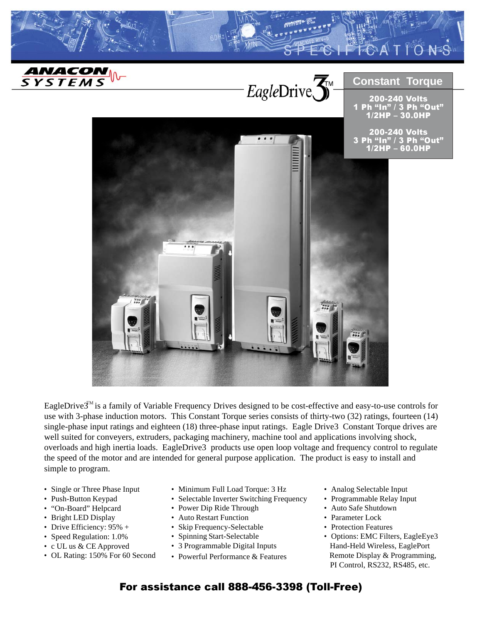

EagleDrive3<sup>™</sup> is a family of Variable Frequency Drives designed to be cost-effective and easy-to-use controls for use with 3-phase induction motors. This Constant Torque series consists of thirty-two (32) ratings, fourteen (14) single-phase input ratings and eighteen (18) three-phase input ratings. Eagle Drive3 Constant Torque drives are well suited for conveyers, extruders, packaging machinery, machine tool and applications involving shock, overloads and high inertia loads. EagleDrive3 products use open loop voltage and frequency control to regulate the speed of the motor and are intended for general purpose application. The product is easy to install and simple to program.

- Single or Three Phase Input
- Push-Button Keypad
- "On-Board" Helpcard
- Bright LED Display
- Drive Efficiency: 95% +
- Speed Regulation: 1.0%
- c UL us & CE Approved
- OL Rating: 150% For 60 Second
- Minimum Full Load Torque: 3 Hz
- Selectable Inverter Switching Frequency
- Power Dip Ride Through
- Auto Restart Function
- Skip Frequency-Selectable
- Spinning Start-Selectable
- 3 Programmable Digital Inputs
- Powerful Performance & Features
- Analog Selectable Input
- Programmable Relay Input
- Auto Safe Shutdown
- Parameter Lock
- Protection Features
- Options: EMC Filters, EagleEye3 Hand-Held Wireless, EaglePort Remote Display & Programming, PI Control, RS232, RS485, etc.

## For assistance call 888-456-3398 (Toll-Free)